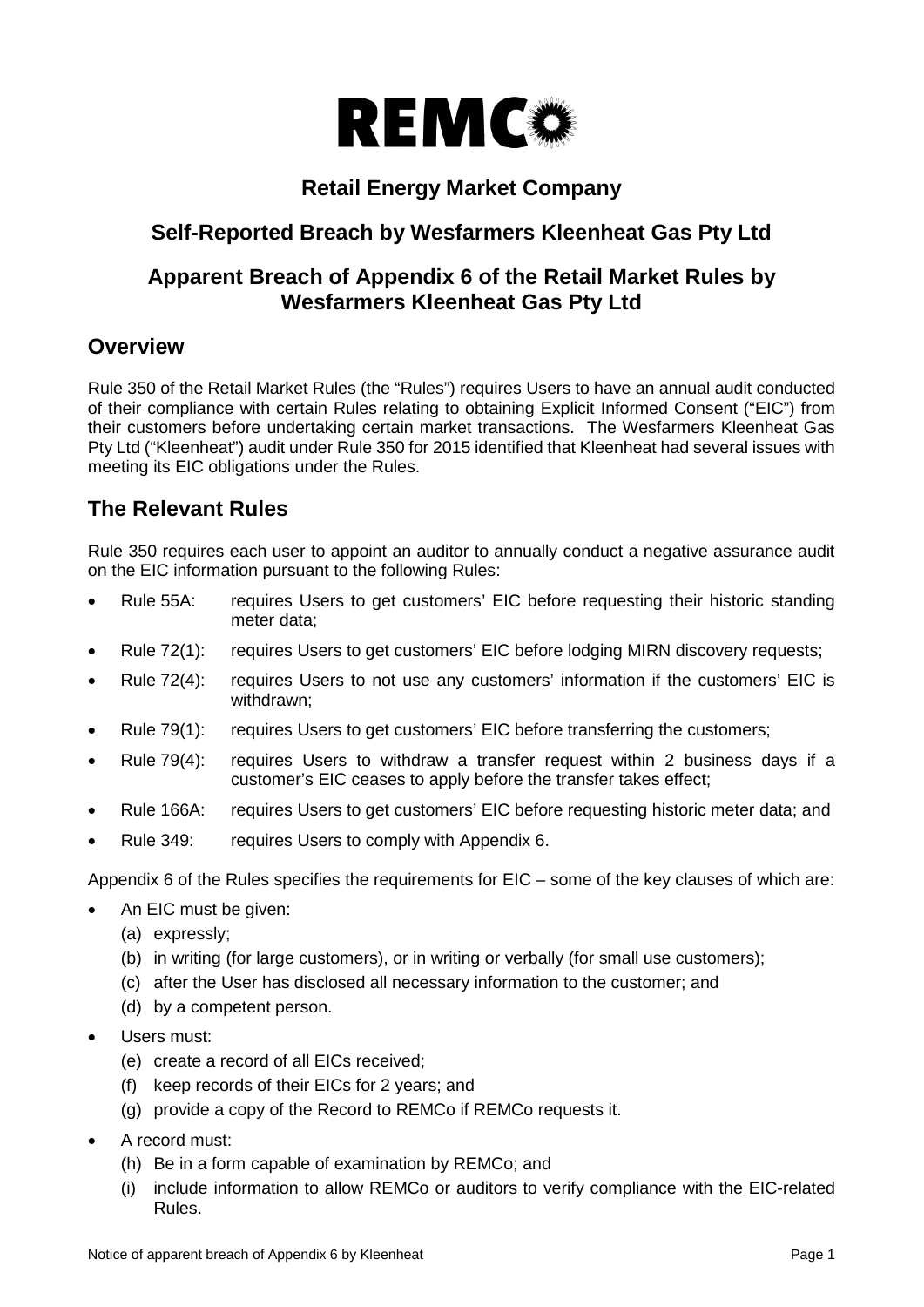

# **Retail Energy Market Company**

# **Self-Reported Breach by Wesfarmers Kleenheat Gas Pty Ltd**

## **Apparent Breach of Appendix 6 of the Retail Market Rules by Wesfarmers Kleenheat Gas Pty Ltd**

## **Overview**

Rule 350 of the Retail Market Rules (the "Rules") requires Users to have an annual audit conducted of their compliance with certain Rules relating to obtaining Explicit Informed Consent ("EIC") from their customers before undertaking certain market transactions. The Wesfarmers Kleenheat Gas Pty Ltd ("Kleenheat") audit under Rule 350 for 2015 identified that Kleenheat had several issues with meeting its EIC obligations under the Rules.

# **The Relevant Rules**

Rule 350 requires each user to appoint an auditor to annually conduct a negative assurance audit on the EIC information pursuant to the following Rules:

- Rule 55A: requires Users to get customers' EIC before requesting their historic standing meter data;
- Rule 72(1): requires Users to get customers' EIC before lodging MIRN discovery requests;
- Rule 72(4): requires Users to not use any customers' information if the customers' EIC is withdrawn;
- Rule 79(1): requires Users to get customers' EIC before transferring the customers;
- Rule 79(4): requires Users to withdraw a transfer request within 2 business days if a customer's EIC ceases to apply before the transfer takes effect;
- Rule 166A: requires Users to get customers' EIC before requesting historic meter data; and
- Rule 349: requires Users to comply with Appendix 6.

Appendix 6 of the Rules specifies the requirements for EIC – some of the key clauses of which are:

- An EIC must be given:
	- (a) expressly;
	- (b) in writing (for large customers), or in writing or verbally (for small use customers);
	- (c) after the User has disclosed all necessary information to the customer; and
	- (d) by a competent person.
- Users must:
	- (e) create a record of all EICs received;
	- (f) keep records of their EICs for 2 years; and
	- (g) provide a copy of the Record to REMCo if REMCo requests it.
- A record must:
	- (h) Be in a form capable of examination by REMCo; and
	- (i) include information to allow REMCo or auditors to verify compliance with the EIC-related Rules.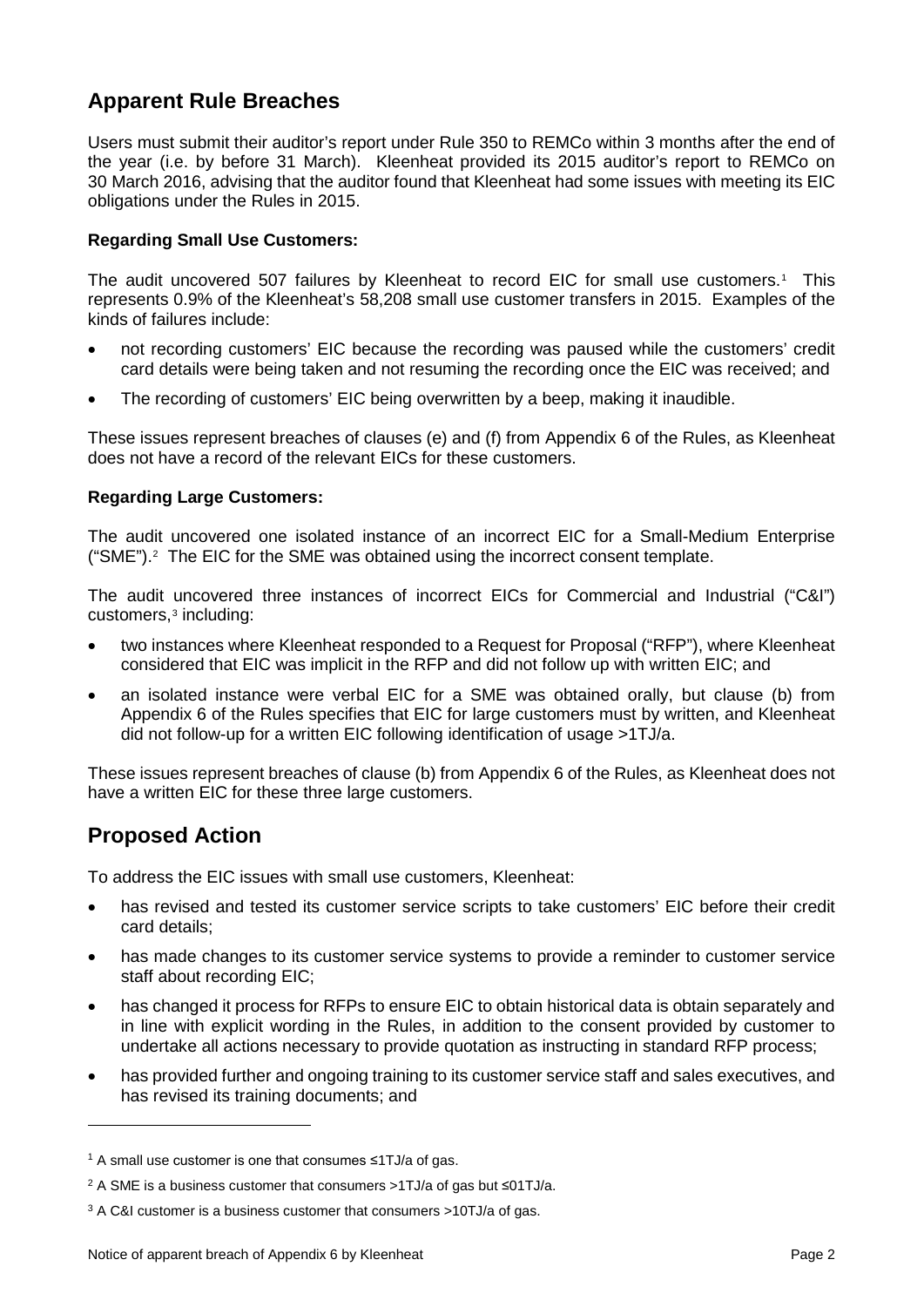# **Apparent Rule Breaches**

Users must submit their auditor's report under Rule 350 to REMCo within 3 months after the end of the year (i.e. by before 31 March). Kleenheat provided its 2015 auditor's report to REMCo on 30 March 2016, advising that the auditor found that Kleenheat had some issues with meeting its EIC obligations under the Rules in 2015.

#### **Regarding Small Use Customers:**

The audit uncovered 507 failures by Kleenheat to record EIC for small use customers.<sup>[1](#page-1-0)</sup> This represents 0.9% of the Kleenheat's 58,208 small use customer transfers in 2015. Examples of the kinds of failures include:

- not recording customers' EIC because the recording was paused while the customers' credit card details were being taken and not resuming the recording once the EIC was received; and
- The recording of customers' EIC being overwritten by a beep, making it inaudible.

These issues represent breaches of clauses (e) and (f) from Appendix 6 of the Rules, as Kleenheat does not have a record of the relevant EICs for these customers.

#### **Regarding Large Customers:**

The audit uncovered one isolated instance of an incorrect EIC for a Small-Medium Enterprise ("SME").[2](#page-1-1) The EIC for the SME was obtained using the incorrect consent template.

The audit uncovered three instances of incorrect EICs for Commercial and Industrial ("C&I") customers,[3](#page-1-2) including:

- two instances where Kleenheat responded to a Request for Proposal ("RFP"), where Kleenheat considered that EIC was implicit in the RFP and did not follow up with written EIC; and
- an isolated instance were verbal EIC for a SME was obtained orally, but clause (b) from Appendix 6 of the Rules specifies that EIC for large customers must by written, and Kleenheat did not follow-up for a written EIC following identification of usage >1TJ/a.

These issues represent breaches of clause (b) from Appendix 6 of the Rules, as Kleenheat does not have a written EIC for these three large customers.

## **Proposed Action**

i,

To address the EIC issues with small use customers, Kleenheat:

- has revised and tested its customer service scripts to take customers' EIC before their credit card details;
- has made changes to its customer service systems to provide a reminder to customer service staff about recording EIC;
- has changed it process for RFPs to ensure EIC to obtain historical data is obtain separately and in line with explicit wording in the Rules, in addition to the consent provided by customer to undertake all actions necessary to provide quotation as instructing in standard RFP process;
- has provided further and ongoing training to its customer service staff and sales executives, and has revised its training documents; and

<span id="page-1-0"></span><sup>1</sup> A small use customer is one that consumes ≤1TJ/a of gas.

<span id="page-1-1"></span><sup>2</sup> A SME is a business customer that consumers >1TJ/a of gas but ≤01TJ/a.

<span id="page-1-2"></span><sup>3</sup> A C&I customer is a business customer that consumers >10TJ/a of gas.